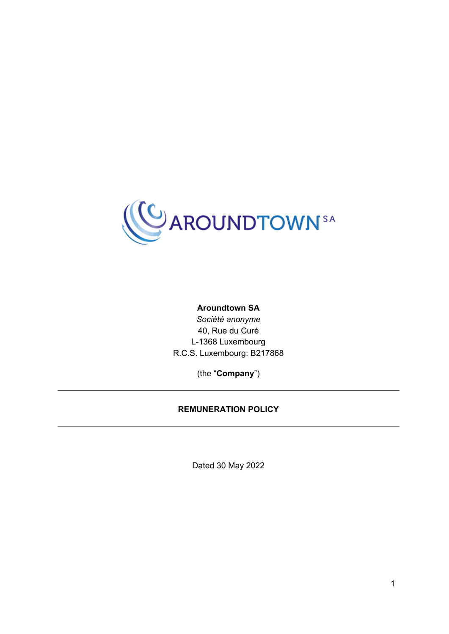

#### **Aroundtown SA**

*Société anonyme* 40, Rue du Curé L-1368 Luxembourg R.C.S. Luxembourg: B217868

(the "**Company**")

#### **REMUNERATION POLICY**

Dated 30 May 2022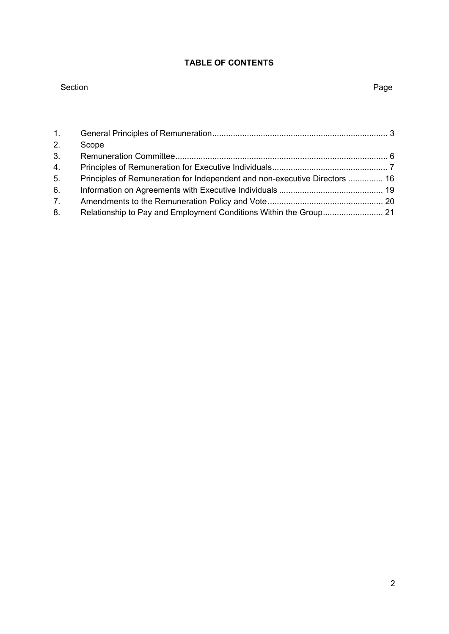# **TABLE OF CONTENTS**

#### Section **Page**

| 1. |                                                                            |  |
|----|----------------------------------------------------------------------------|--|
| 2. | Scope                                                                      |  |
| 3. |                                                                            |  |
| 4. |                                                                            |  |
| 5. | Principles of Remuneration for Independent and non-executive Directors  16 |  |
| 6. |                                                                            |  |
| 7. |                                                                            |  |
| 8. |                                                                            |  |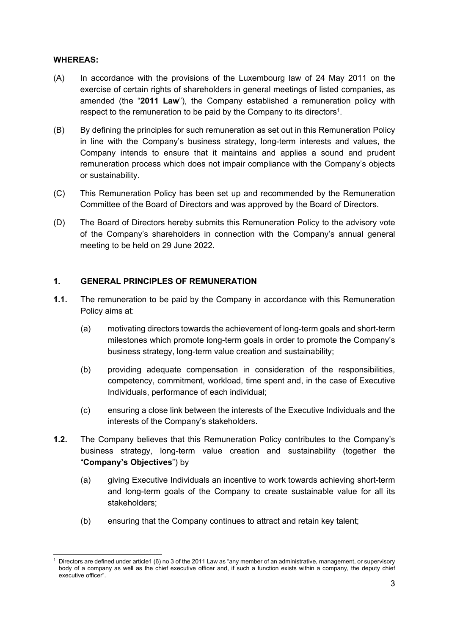#### **WHEREAS:**

- (A) In accordance with the provisions of the Luxembourg law of 24 May 2011 on the exercise of certain rights of shareholders in general meetings of listed companies, as amended (the "**2011 Law**"), the Company established a remuneration policy with respect to the remuneration to be paid by the Company to its directors<sup>1</sup>.
- (B) By defining the principles for such remuneration as set out in this Remuneration Policy in line with the Company's business strategy, long-term interests and values, the Company intends to ensure that it maintains and applies a sound and prudent remuneration process which does not impair compliance with the Company's objects or sustainability.
- (C) This Remuneration Policy has been set up and recommended by the Remuneration Committee of the Board of Directors and was approved by the Board of Directors.
- (D) The Board of Directors hereby submits this Remuneration Policy to the advisory vote of the Company's shareholders in connection with the Company's annual general meeting to be held on 29 June 2022.

#### **1. GENERAL PRINCIPLES OF REMUNERATION**

- **1.1.** The remuneration to be paid by the Company in accordance with this Remuneration Policy aims at:
	- (a) motivating directors towards the achievement of long-term goals and short-term milestones which promote long-term goals in order to promote the Company's business strategy, long-term value creation and sustainability;
	- (b) providing adequate compensation in consideration of the responsibilities, competency, commitment, workload, time spent and, in the case of Executive Individuals, performance of each individual;
	- (c) ensuring a close link between the interests of the Executive Individuals and the interests of the Company's stakeholders.
- **1.2.** The Company believes that this Remuneration Policy contributes to the Company's business strategy, long-term value creation and sustainability (together the "**Company's Objectives**") by
	- (a) giving Executive Individuals an incentive to work towards achieving short-term and long-term goals of the Company to create sustainable value for all its stakeholders;
	- (b) ensuring that the Company continues to attract and retain key talent;

<sup>1</sup> Directors are defined under article1 (6) no 3 of the 2011 Law as "any member of an administrative, management, or supervisory body of a company as well as the chief executive officer and, if such a function exists within a company, the deputy chief executive officer".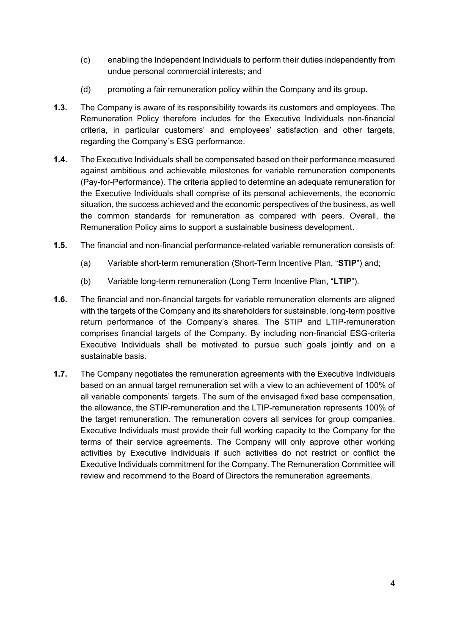- (c) enabling the Independent Individuals to perform their duties independently from undue personal commercial interests; and
- (d) promoting a fair remuneration policy within the Company and its group.
- **1.3.** The Company is aware of its responsibility towards its customers and employees. The Remuneration Policy therefore includes for the Executive Individuals non-financial criteria, in particular customers' and employees' satisfaction and other targets, regarding the Company´s ESG performance.
- **1.4.** The Executive Individuals shall be compensated based on their performance measured against ambitious and achievable milestones for variable remuneration components (Pay-for-Performance). The criteria applied to determine an adequate remuneration for the Executive Individuals shall comprise of its personal achievements, the economic situation, the success achieved and the economic perspectives of the business, as well the common standards for remuneration as compared with peers. Overall, the Remuneration Policy aims to support a sustainable business development.
- **1.5.** The financial and non-financial performance-related variable remuneration consists of:
	- (a) Variable short-term remuneration (Short-Term Incentive Plan, "**STIP**") and;
	- (b) Variable long-term remuneration (Long Term Incentive Plan, "**LTIP**").
- **1.6.** The financial and non-financial targets for variable remuneration elements are aligned with the targets of the Company and its shareholders for sustainable, long-term positive return performance of the Company's shares. The STIP and LTIP-remuneration comprises financial targets of the Company. By including non-financial ESG-criteria Executive Individuals shall be motivated to pursue such goals jointly and on a sustainable basis.
- **1.7.** The Company negotiates the remuneration agreements with the Executive Individuals based on an annual target remuneration set with a view to an achievement of 100% of all variable components' targets. The sum of the envisaged fixed base compensation, the allowance, the STIP-remuneration and the LTIP-remuneration represents 100% of the target remuneration. The remuneration covers all services for group companies. Executive Individuals must provide their full working capacity to the Company for the terms of their service agreements. The Company will only approve other working activities by Executive Individuals if such activities do not restrict or conflict the Executive Individuals commitment for the Company. The Remuneration Committee will review and recommend to the Board of Directors the remuneration agreements.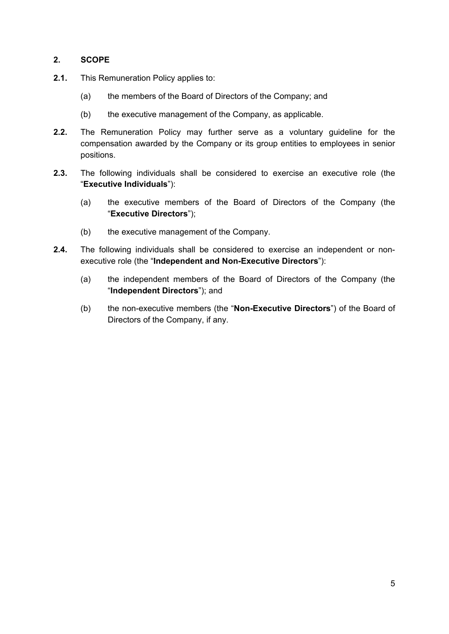# **2. SCOPE**

- **2.1.** This Remuneration Policy applies to:
	- (a) the members of the Board of Directors of the Company; and
	- (b) the executive management of the Company, as applicable.
- **2.2.** The Remuneration Policy may further serve as a voluntary guideline for the compensation awarded by the Company or its group entities to employees in senior positions.
- **2.3.** The following individuals shall be considered to exercise an executive role (the "**Executive Individuals**"):
	- (a) the executive members of the Board of Directors of the Company (the "**Executive Directors**");
	- (b) the executive management of the Company.
- **2.4.** The following individuals shall be considered to exercise an independent or nonexecutive role (the "**Independent and Non-Executive Directors**"):
	- (a) the independent members of the Board of Directors of the Company (the "**Independent Directors**"); and
	- (b) the non-executive members (the "**Non-Executive Directors**") of the Board of Directors of the Company, if any.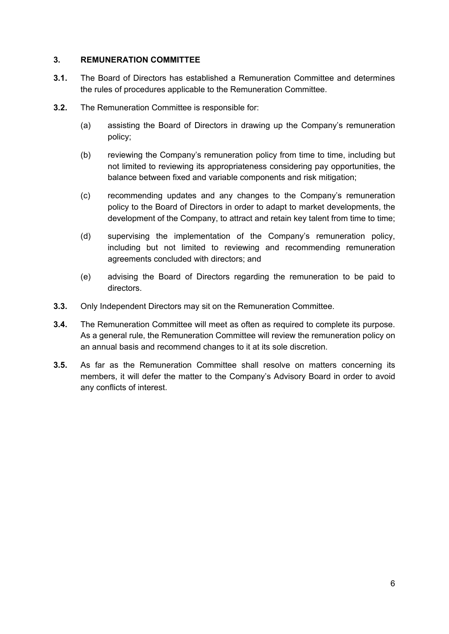### **3. REMUNERATION COMMITTEE**

- **3.1.** The Board of Directors has established a Remuneration Committee and determines the rules of procedures applicable to the Remuneration Committee.
- **3.2.** The Remuneration Committee is responsible for:
	- (a) assisting the Board of Directors in drawing up the Company's remuneration policy;
	- (b) reviewing the Company's remuneration policy from time to time, including but not limited to reviewing its appropriateness considering pay opportunities, the balance between fixed and variable components and risk mitigation;
	- (c) recommending updates and any changes to the Company's remuneration policy to the Board of Directors in order to adapt to market developments, the development of the Company, to attract and retain key talent from time to time;
	- (d) supervising the implementation of the Company's remuneration policy, including but not limited to reviewing and recommending remuneration agreements concluded with directors; and
	- (e) advising the Board of Directors regarding the remuneration to be paid to directors.
- **3.3.** Only Independent Directors may sit on the Remuneration Committee.
- **3.4.** The Remuneration Committee will meet as often as required to complete its purpose. As a general rule, the Remuneration Committee will review the remuneration policy on an annual basis and recommend changes to it at its sole discretion.
- **3.5.** As far as the Remuneration Committee shall resolve on matters concerning its members, it will defer the matter to the Company's Advisory Board in order to avoid any conflicts of interest.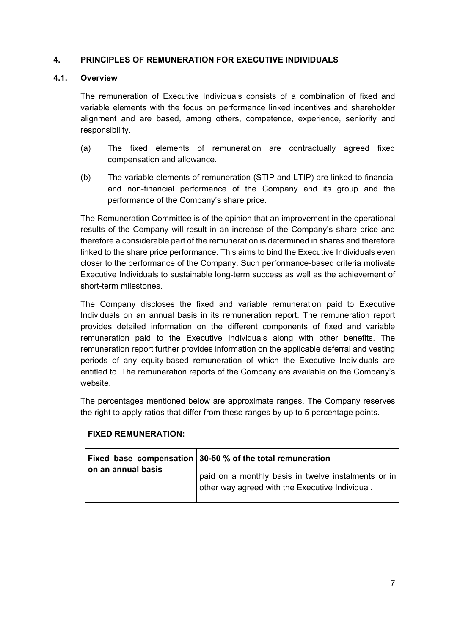#### **4. PRINCIPLES OF REMUNERATION FOR EXECUTIVE INDIVIDUALS**

#### **4.1. Overview**

The remuneration of Executive Individuals consists of a combination of fixed and variable elements with the focus on performance linked incentives and shareholder alignment and are based, among others, competence, experience, seniority and responsibility.

- (a) The fixed elements of remuneration are contractually agreed fixed compensation and allowance.
- (b) The variable elements of remuneration (STIP and LTIP) are linked to financial and non-financial performance of the Company and its group and the performance of the Company's share price.

The Remuneration Committee is of the opinion that an improvement in the operational results of the Company will result in an increase of the Company's share price and therefore a considerable part of the remuneration is determined in shares and therefore linked to the share price performance. This aims to bind the Executive Individuals even closer to the performance of the Company. Such performance-based criteria motivate Executive Individuals to sustainable long-term success as well as the achievement of short-term milestones.

The Company discloses the fixed and variable remuneration paid to Executive Individuals on an annual basis in its remuneration report. The remuneration report provides detailed information on the different components of fixed and variable remuneration paid to the Executive Individuals along with other benefits. The remuneration report further provides information on the applicable deferral and vesting periods of any equity-based remuneration of which the Executive Individuals are entitled to. The remuneration reports of the Company are available on the Company's website.

The percentages mentioned below are approximate ranges. The Company reserves the right to apply ratios that differ from these ranges by up to 5 percentage points.

| <b>FIXED REMUNERATION:</b> |                                                                                                                                                                       |  |  |  |  |  |  |
|----------------------------|-----------------------------------------------------------------------------------------------------------------------------------------------------------------------|--|--|--|--|--|--|
| on an annual basis         | Fixed base compensation $30-50$ % of the total remuneration<br>paid on a monthly basis in twelve instalments or in<br>other way agreed with the Executive Individual. |  |  |  |  |  |  |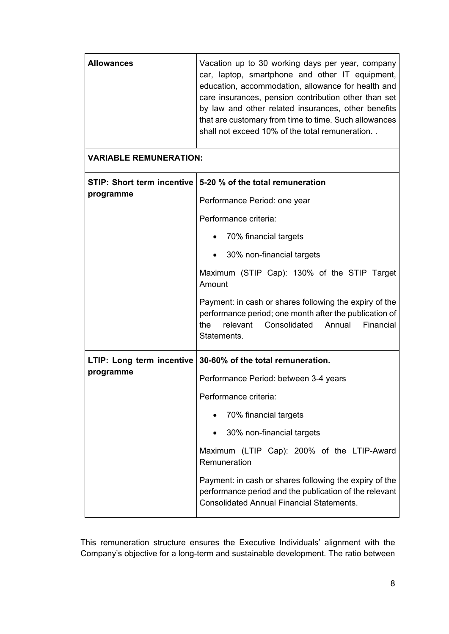| <b>Allowances</b>             | Vacation up to 30 working days per year, company<br>car, laptop, smartphone and other IT equipment,<br>education, accommodation, allowance for health and<br>care insurances, pension contribution other than set<br>by law and other related insurances, other benefits<br>that are customary from time to time. Such allowances<br>shall not exceed 10% of the total remuneration                                                           |  |  |  |  |  |
|-------------------------------|-----------------------------------------------------------------------------------------------------------------------------------------------------------------------------------------------------------------------------------------------------------------------------------------------------------------------------------------------------------------------------------------------------------------------------------------------|--|--|--|--|--|
| <b>VARIABLE REMUNERATION:</b> |                                                                                                                                                                                                                                                                                                                                                                                                                                               |  |  |  |  |  |
| programme                     | STIP: Short term incentive 5-20 % of the total remuneration<br>Performance Period: one year<br>Performance criteria:<br>70% financial targets<br>30% non-financial targets<br>$\bullet$<br>Maximum (STIP Cap): 130% of the STIP Target<br>Amount<br>Payment: in cash or shares following the expiry of the<br>performance period; one month after the publication of<br>the<br>relevant<br>Consolidated<br>Annual<br>Financial<br>Statements. |  |  |  |  |  |
| programme                     | LTIP: Long term incentive   30-60% of the total remuneration.<br>Performance Period: between 3-4 years<br>Performance criteria:<br>70% financial targets<br>30% non-financial targets<br>Maximum (LTIP Cap): 200% of the LTIP-Award<br>Remuneration<br>Payment: in cash or shares following the expiry of the<br>performance period and the publication of the relevant<br><b>Consolidated Annual Financial Statements.</b>                   |  |  |  |  |  |

This remuneration structure ensures the Executive Individuals' alignment with the Company's objective for a long-term and sustainable development. The ratio between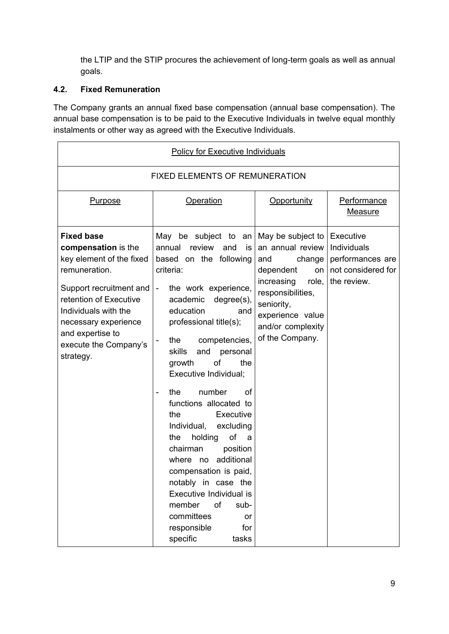the LTIP and the STIP procures the achievement of long-term goals as well as annual goals.

# **4.2. Fixed Remuneration**

The Company grants an annual fixed base compensation (annual base compensation). The annual base compensation is to be paid to the Executive Individuals in twelve equal monthly instalments or other way as agreed with the Executive Individuals.

| <b>Policy for Executive Individuals</b>                                                                                                                                                                                                              |                                                                                                                                                                                                                                                                                                                                                                                                                                                                                                                                                                                                                                                                                                   |                                                                                                                                                                                                 |                                                                                   |  |  |  |  |  |  |
|------------------------------------------------------------------------------------------------------------------------------------------------------------------------------------------------------------------------------------------------------|---------------------------------------------------------------------------------------------------------------------------------------------------------------------------------------------------------------------------------------------------------------------------------------------------------------------------------------------------------------------------------------------------------------------------------------------------------------------------------------------------------------------------------------------------------------------------------------------------------------------------------------------------------------------------------------------------|-------------------------------------------------------------------------------------------------------------------------------------------------------------------------------------------------|-----------------------------------------------------------------------------------|--|--|--|--|--|--|
| <b>FIXED ELEMENTS OF REMUNERATION</b>                                                                                                                                                                                                                |                                                                                                                                                                                                                                                                                                                                                                                                                                                                                                                                                                                                                                                                                                   |                                                                                                                                                                                                 |                                                                                   |  |  |  |  |  |  |
| <b>Purpose</b>                                                                                                                                                                                                                                       | Operation                                                                                                                                                                                                                                                                                                                                                                                                                                                                                                                                                                                                                                                                                         | Opportunity                                                                                                                                                                                     | Performance<br>Measure                                                            |  |  |  |  |  |  |
| <b>Fixed base</b><br>compensation is the<br>key element of the fixed<br>remuneration.<br>Support recruitment and<br>retention of Executive<br>Individuals with the<br>necessary experience<br>and expertise to<br>execute the Company's<br>strategy. | May be subject to<br>an<br>annual<br>review<br>and<br>is<br>based on the following<br>criteria:<br>the work experience,<br>$\blacksquare$<br>academic<br>degree(s),<br>education<br>and<br>professional title(s);<br>competencies,<br>the<br>skills<br>and<br>personal<br>of<br>growth<br>the<br>Executive Individual;<br>number<br>οf<br>the<br>$\blacksquare$<br>functions allocated to<br>the<br>Executive<br>Individual, excluding<br>holding<br>of<br>the<br>a<br>chairman<br>position<br>additional<br>where<br>no<br>compensation is paid,<br>notably in case the<br>Executive Individual is<br>of<br>member<br>sub-<br>committees<br><b>or</b><br>responsible<br>for<br>specific<br>tasks | May be subject to<br>an annual review<br>change<br>and<br>dependent<br>on<br>increasing<br>role,<br>responsibilities,<br>seniority,<br>experience value<br>and/or complexity<br>of the Company. | Executive<br>Individuals<br>performances are<br>not considered for<br>the review. |  |  |  |  |  |  |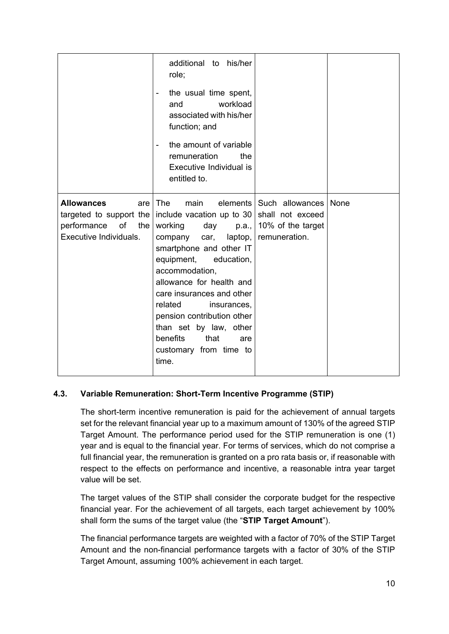|                                                                                                             | additional to his/her<br>role;<br>the usual time spent,<br>$\overline{\phantom{a}}$<br>workload<br>and<br>associated with his/her<br>function; and<br>the amount of variable<br>$\blacksquare$<br>the<br>remuneration<br>Executive Individual is<br>entitled to.                                                                                                                           |                                                                                             |  |
|-------------------------------------------------------------------------------------------------------------|--------------------------------------------------------------------------------------------------------------------------------------------------------------------------------------------------------------------------------------------------------------------------------------------------------------------------------------------------------------------------------------------|---------------------------------------------------------------------------------------------|--|
| <b>Allowances</b><br>are<br>targeted to support the<br>performance<br>of<br>the  <br>Executive Individuals. | <b>The</b><br>main<br>include vacation up to 30<br>working<br>day<br>p.a.,<br>laptop,<br>company<br>car,<br>smartphone and other IT<br>equipment,<br>education,<br>accommodation,<br>allowance for health and<br>care insurances and other<br>related<br>insurances,<br>pension contribution other<br>than set by law, other<br>benefits<br>that<br>are<br>customary from time to<br>time. | elements   Such allowances   None<br>shall not exceed<br>10% of the target<br>remuneration. |  |

# **4.3. Variable Remuneration: Short-Term Incentive Programme (STIP)**

The short-term incentive remuneration is paid for the achievement of annual targets set for the relevant financial year up to a maximum amount of 130% of the agreed STIP Target Amount. The performance period used for the STIP remuneration is one (1) year and is equal to the financial year. For terms of services, which do not comprise a full financial year, the remuneration is granted on a pro rata basis or, if reasonable with respect to the effects on performance and incentive, a reasonable intra year target value will be set.

The target values of the STIP shall consider the corporate budget for the respective financial year. For the achievement of all targets, each target achievement by 100% shall form the sums of the target value (the "**STIP Target Amount**").

The financial performance targets are weighted with a factor of 70% of the STIP Target Amount and the non-financial performance targets with a factor of 30% of the STIP Target Amount, assuming 100% achievement in each target.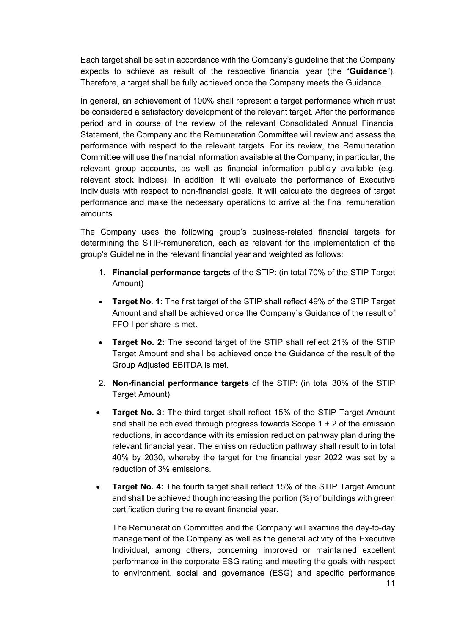Each target shall be set in accordance with the Company's guideline that the Company expects to achieve as result of the respective financial year (the "**Guidance**"). Therefore, a target shall be fully achieved once the Company meets the Guidance.

In general, an achievement of 100% shall represent a target performance which must be considered a satisfactory development of the relevant target. After the performance period and in course of the review of the relevant Consolidated Annual Financial Statement, the Company and the Remuneration Committee will review and assess the performance with respect to the relevant targets. For its review, the Remuneration Committee will use the financial information available at the Company; in particular, the relevant group accounts, as well as financial information publicly available (e.g. relevant stock indices). In addition, it will evaluate the performance of Executive Individuals with respect to non-financial goals. It will calculate the degrees of target performance and make the necessary operations to arrive at the final remuneration amounts.

The Company uses the following group's business-related financial targets for determining the STIP-remuneration, each as relevant for the implementation of the group's Guideline in the relevant financial year and weighted as follows:

- 1. **Financial performance targets** of the STIP: (in total 70% of the STIP Target Amount)
- **Target No. 1:** The first target of the STIP shall reflect 49% of the STIP Target Amount and shall be achieved once the Company`s Guidance of the result of FFO I per share is met.
- **Target No. 2:** The second target of the STIP shall reflect 21% of the STIP Target Amount and shall be achieved once the Guidance of the result of the Group Adjusted EBITDA is met.
- 2. **Non-financial performance targets** of the STIP: (in total 30% of the STIP Target Amount)
- **Target No. 3:** The third target shall reflect 15% of the STIP Target Amount and shall be achieved through progress towards Scope 1 + 2 of the emission reductions, in accordance with its emission reduction pathway plan during the relevant financial year. The emission reduction pathway shall result to in total 40% by 2030, whereby the target for the financial year 2022 was set by a reduction of 3% emissions.
- **Target No. 4:** The fourth target shall reflect 15% of the STIP Target Amount and shall be achieved though increasing the portion (%) of buildings with green certification during the relevant financial year.

The Remuneration Committee and the Company will examine the day-to-day management of the Company as well as the general activity of the Executive Individual, among others, concerning improved or maintained excellent performance in the corporate ESG rating and meeting the goals with respect to environment, social and governance (ESG) and specific performance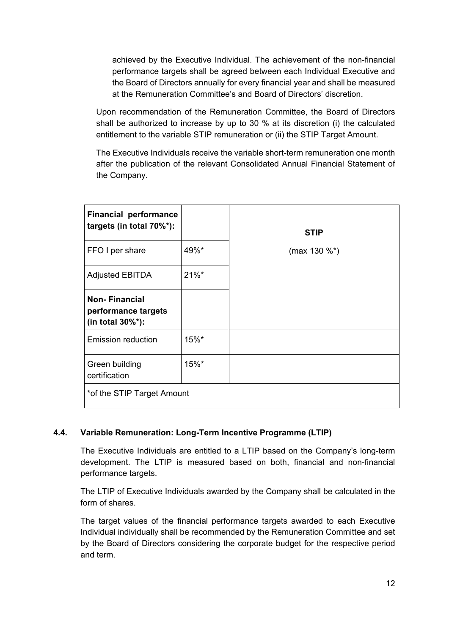achieved by the Executive Individual. The achievement of the non-financial performance targets shall be agreed between each Individual Executive and the Board of Directors annually for every financial year and shall be measured at the Remuneration Committee's and Board of Directors' discretion.

Upon recommendation of the Remuneration Committee, the Board of Directors shall be authorized to increase by up to 30 % at its discretion (i) the calculated entitlement to the variable STIP remuneration or (ii) the STIP Target Amount.

The Executive Individuals receive the variable short-term remuneration one month after the publication of the relevant Consolidated Annual Financial Statement of the Company.

| <b>Financial performance</b><br>targets (in total 70%*):        |          | <b>STIP</b>  |  |  |  |  |  |
|-----------------------------------------------------------------|----------|--------------|--|--|--|--|--|
| FFO I per share                                                 | 49%*     | (max 130 %*) |  |  |  |  |  |
| <b>Adjusted EBITDA</b>                                          | $21\%$ * |              |  |  |  |  |  |
| <b>Non-Financial</b><br>performance targets<br>(in total 30%*): |          |              |  |  |  |  |  |
| <b>Emission reduction</b>                                       | 15%*     |              |  |  |  |  |  |
| Green building<br>certification                                 | 15%*     |              |  |  |  |  |  |
| *of the STIP Target Amount                                      |          |              |  |  |  |  |  |

# **4.4. Variable Remuneration: Long-Term Incentive Programme (LTIP)**

The Executive Individuals are entitled to a LTIP based on the Company's long-term development. The LTIP is measured based on both, financial and non-financial performance targets.

The LTIP of Executive Individuals awarded by the Company shall be calculated in the form of shares.

The target values of the financial performance targets awarded to each Executive Individual individually shall be recommended by the Remuneration Committee and set by the Board of Directors considering the corporate budget for the respective period and term.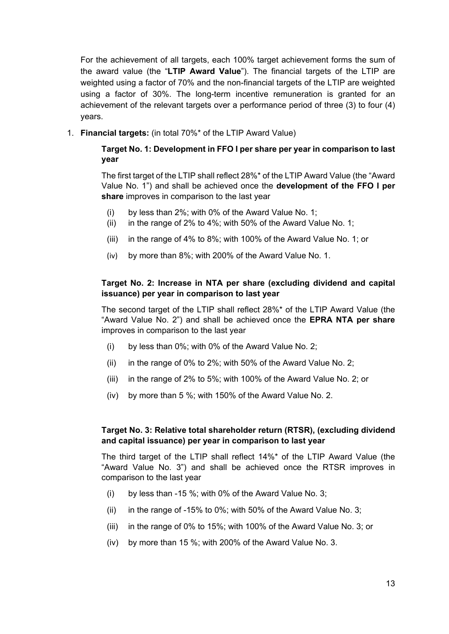For the achievement of all targets, each 100% target achievement forms the sum of the award value (the "**LTIP Award Value**"). The financial targets of the LTIP are weighted using a factor of 70% and the non-financial targets of the LTIP are weighted using a factor of 30%. The long-term incentive remuneration is granted for an achievement of the relevant targets over a performance period of three (3) to four (4) years.

1. **Financial targets:** (in total 70%\* of the LTIP Award Value)

### **Target No. 1: Development in FFO I per share per year in comparison to last year**

The first target of the LTIP shall reflect 28%\* of the LTIP Award Value (the "Award Value No. 1") and shall be achieved once the **development of the FFO I per share** improves in comparison to the last year

- (i) by less than 2%; with 0% of the Award Value No. 1;
- (ii) in the range of 2% to 4%; with 50% of the Award Value No. 1;
- (iii) in the range of 4% to 8%; with 100% of the Award Value No. 1; or
- (iv) by more than 8%; with 200% of the Award Value No. 1.

### **Target No. 2: Increase in NTA per share (excluding dividend and capital issuance) per year in comparison to last year**

The second target of the LTIP shall reflect 28%\* of the LTIP Award Value (the "Award Value No. 2") and shall be achieved once the **EPRA NTA per share**  improves in comparison to the last year

- (i) by less than 0%; with 0% of the Award Value No. 2;
- (ii) in the range of 0% to 2%; with 50% of the Award Value No. 2;
- (iii) in the range of 2% to 5%; with 100% of the Award Value No. 2; or
- (iv) by more than 5 %; with 150% of the Award Value No. 2.

#### **Target No. 3: Relative total shareholder return (RTSR), (excluding dividend and capital issuance) per year in comparison to last year**

The third target of the LTIP shall reflect 14%\* of the LTIP Award Value (the "Award Value No. 3") and shall be achieved once the RTSR improves in comparison to the last year

- (i) by less than -15 %; with 0% of the Award Value No. 3;
- (ii) in the range of -15% to 0%; with 50% of the Award Value No. 3;
- (iii) in the range of 0% to 15%; with 100% of the Award Value No. 3; or
- (iv) by more than 15 %; with 200% of the Award Value No. 3.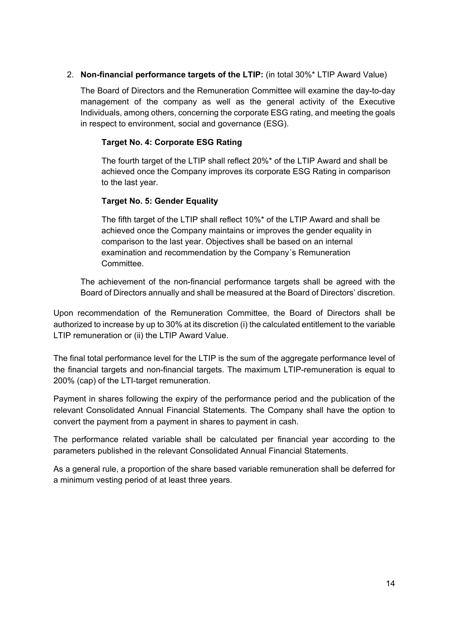# 2. **Non-financial performance targets of the LTIP:** (in total 30%\* LTIP Award Value)

The Board of Directors and the Remuneration Committee will examine the day-to-day management of the company as well as the general activity of the Executive Individuals, among others, concerning the corporate ESG rating, and meeting the goals in respect to environment, social and governance (ESG).

#### **Target No. 4: Corporate ESG Rating**

The fourth target of the LTIP shall reflect 20%\* of the LTIP Award and shall be achieved once the Company improves its corporate ESG Rating in comparison to the last year.

#### **Target No. 5: Gender Equality**

The fifth target of the LTIP shall reflect 10%\* of the LTIP Award and shall be achieved once the Company maintains or improves the gender equality in comparison to the last year. Objectives shall be based on an internal examination and recommendation by the Company´s Remuneration Committee.

The achievement of the non-financial performance targets shall be agreed with the Board of Directors annually and shall be measured at the Board of Directors' discretion.

Upon recommendation of the Remuneration Committee, the Board of Directors shall be authorized to increase by up to 30% at its discretion (i) the calculated entitlement to the variable LTIP remuneration or (ii) the LTIP Award Value.

The final total performance level for the LTIP is the sum of the aggregate performance level of the financial targets and non-financial targets. The maximum LTIP-remuneration is equal to 200% (cap) of the LTI-target remuneration.

Payment in shares following the expiry of the performance period and the publication of the relevant Consolidated Annual Financial Statements. The Company shall have the option to convert the payment from a payment in shares to payment in cash.

The performance related variable shall be calculated per financial year according to the parameters published in the relevant Consolidated Annual Financial Statements.

As a general rule, a proportion of the share based variable remuneration shall be deferred for a minimum vesting period of at least three years.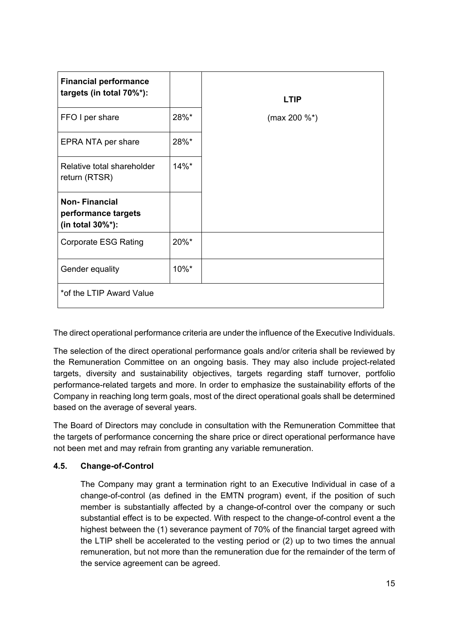| <b>Financial performance</b><br>targets (in total 70%*):        |          | <b>LTIP</b>       |
|-----------------------------------------------------------------|----------|-------------------|
| FFO I per share                                                 | 28%*     | (max 200 $\%^*$ ) |
| EPRA NTA per share                                              | 28%*     |                   |
| Relative total shareholder<br>return (RTSR)                     | $14\%$ * |                   |
| <b>Non-Financial</b><br>performance targets<br>(in total 30%*): |          |                   |
| <b>Corporate ESG Rating</b>                                     | 20%*     |                   |
| Gender equality                                                 | $10\%$ * |                   |
| *of the LTIP Award Value                                        |          |                   |

The direct operational performance criteria are under the influence of the Executive Individuals.

The selection of the direct operational performance goals and/or criteria shall be reviewed by the Remuneration Committee on an ongoing basis. They may also include project-related targets, diversity and sustainability objectives, targets regarding staff turnover, portfolio performance-related targets and more. In order to emphasize the sustainability efforts of the Company in reaching long term goals, most of the direct operational goals shall be determined based on the average of several years.

The Board of Directors may conclude in consultation with the Remuneration Committee that the targets of performance concerning the share price or direct operational performance have not been met and may refrain from granting any variable remuneration.

# **4.5. Change-of-Control**

The Company may grant a termination right to an Executive Individual in case of a change-of-control (as defined in the EMTN program) event, if the position of such member is substantially affected by a change-of-control over the company or such substantial effect is to be expected. With respect to the change-of-control event a the highest between the (1) severance payment of 70% of the financial target agreed with the LTIP shell be accelerated to the vesting period or (2) up to two times the annual remuneration, but not more than the remuneration due for the remainder of the term of the service agreement can be agreed.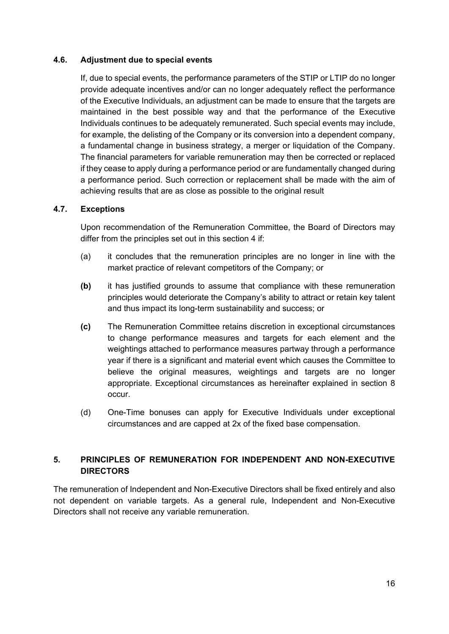#### **4.6. Adjustment due to special events**

If, due to special events, the performance parameters of the STIP or LTIP do no longer provide adequate incentives and/or can no longer adequately reflect the performance of the Executive Individuals, an adjustment can be made to ensure that the targets are maintained in the best possible way and that the performance of the Executive Individuals continues to be adequately remunerated. Such special events may include, for example, the delisting of the Company or its conversion into a dependent company, a fundamental change in business strategy, a merger or liquidation of the Company. The financial parameters for variable remuneration may then be corrected or replaced if they cease to apply during a performance period or are fundamentally changed during a performance period. Such correction or replacement shall be made with the aim of achieving results that are as close as possible to the original result

#### **4.7. Exceptions**

Upon recommendation of the Remuneration Committee, the Board of Directors may differ from the principles set out in this section 4 if:

- (a) it concludes that the remuneration principles are no longer in line with the market practice of relevant competitors of the Company; or
- **(b)** it has justified grounds to assume that compliance with these remuneration principles would deteriorate the Company's ability to attract or retain key talent and thus impact its long-term sustainability and success; or
- **(c)** The Remuneration Committee retains discretion in exceptional circumstances to change performance measures and targets for each element and the weightings attached to performance measures partway through a performance year if there is a significant and material event which causes the Committee to believe the original measures, weightings and targets are no longer appropriate. Exceptional circumstances as hereinafter explained in section 8 occur.
- (d) One-Time bonuses can apply for Executive Individuals under exceptional circumstances and are capped at 2x of the fixed base compensation.

# **5. PRINCIPLES OF REMUNERATION FOR INDEPENDENT AND NON-EXECUTIVE DIRECTORS**

The remuneration of Independent and Non-Executive Directors shall be fixed entirely and also not dependent on variable targets. As a general rule, Independent and Non-Executive Directors shall not receive any variable remuneration.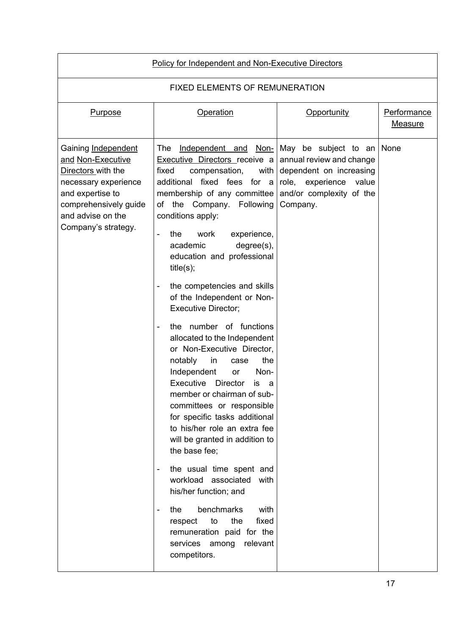| <b>Policy for Independent and Non-Executive Directors</b>                                                                                                                       |                                                                                                                                                                                                                                                                                                                                                                                                                                                                                                                                                                                                                                                                                                                                                                                                                                                                                                                                                                                                                                                                                                                          |                                                                                                                                                  |                                      |  |  |  |  |  |
|---------------------------------------------------------------------------------------------------------------------------------------------------------------------------------|--------------------------------------------------------------------------------------------------------------------------------------------------------------------------------------------------------------------------------------------------------------------------------------------------------------------------------------------------------------------------------------------------------------------------------------------------------------------------------------------------------------------------------------------------------------------------------------------------------------------------------------------------------------------------------------------------------------------------------------------------------------------------------------------------------------------------------------------------------------------------------------------------------------------------------------------------------------------------------------------------------------------------------------------------------------------------------------------------------------------------|--------------------------------------------------------------------------------------------------------------------------------------------------|--------------------------------------|--|--|--|--|--|
| <b>FIXED ELEMENTS OF REMUNERATION</b>                                                                                                                                           |                                                                                                                                                                                                                                                                                                                                                                                                                                                                                                                                                                                                                                                                                                                                                                                                                                                                                                                                                                                                                                                                                                                          |                                                                                                                                                  |                                      |  |  |  |  |  |
| Purpose                                                                                                                                                                         | Operation                                                                                                                                                                                                                                                                                                                                                                                                                                                                                                                                                                                                                                                                                                                                                                                                                                                                                                                                                                                                                                                                                                                | Opportunity                                                                                                                                      | <b>Performance</b><br><b>Measure</b> |  |  |  |  |  |
| Gaining Independent<br>and Non-Executive<br>Directors with the<br>necessary experience<br>and expertise to<br>comprehensively guide<br>and advise on the<br>Company's strategy. | The<br>Independent and Non-<br><b>Executive Directors receive a</b><br>fixed<br>compensation,<br>with<br>additional fixed fees for a<br>membership of any committee<br>the Company.<br>Following<br>of<br>conditions apply:<br>work<br>experience,<br>the<br>$\overline{\phantom{0}}$<br>$degree(s)$ ,<br>academic<br>education and professional<br>title(s);<br>the competencies and skills<br>of the Independent or Non-<br><b>Executive Director;</b><br>the number of functions<br>allocated to the Independent<br>or Non-Executive Director,<br>the<br>notably<br><i>in</i><br>case<br>Independent<br>Non-<br><b>or</b><br>Executive<br><b>Director</b><br>IS<br>a<br>member or chairman of sub-<br>committees or responsible<br>for specific tasks additional<br>to his/her role an extra fee<br>will be granted in addition to<br>the base fee;<br>the usual time spent and<br>$\qquad \qquad \blacksquare$<br>workload associated<br>with<br>his/her function; and<br>benchmarks<br>with<br>the<br>-<br>the<br>fixed<br>to<br>respect<br>remuneration paid for the<br>services among<br>relevant<br>competitors. | May be subject to an<br>annual review and change<br>dependent on increasing<br>role, experience<br>value<br>and/or complexity of the<br>Company. | None                                 |  |  |  |  |  |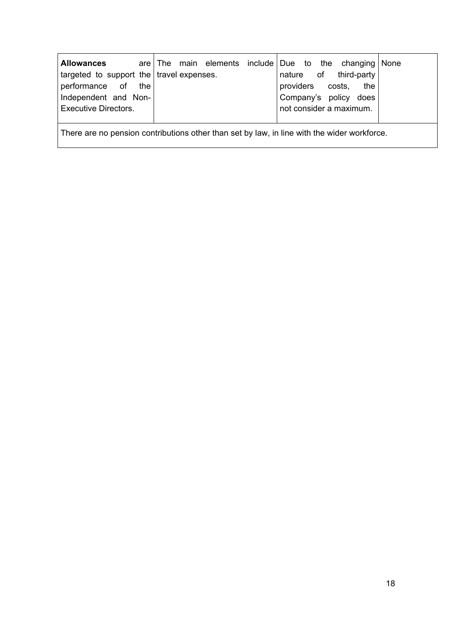| <b>Allowances</b>                          |  | are The main elements include Due to the changing None |                  |  |                         |  |
|--------------------------------------------|--|--------------------------------------------------------|------------------|--|-------------------------|--|
| targeted to support the   travel expenses. |  |                                                        |                  |  | nature of third-party   |  |
| performance of the                         |  |                                                        | providers costs, |  | the                     |  |
| Independent and Non-                       |  |                                                        |                  |  | Company's policy does   |  |
| <b>Executive Directors.</b>                |  |                                                        |                  |  | not consider a maximum. |  |
|                                            |  |                                                        |                  |  |                         |  |

There are no pension contributions other than set by law, in line with the wider workforce.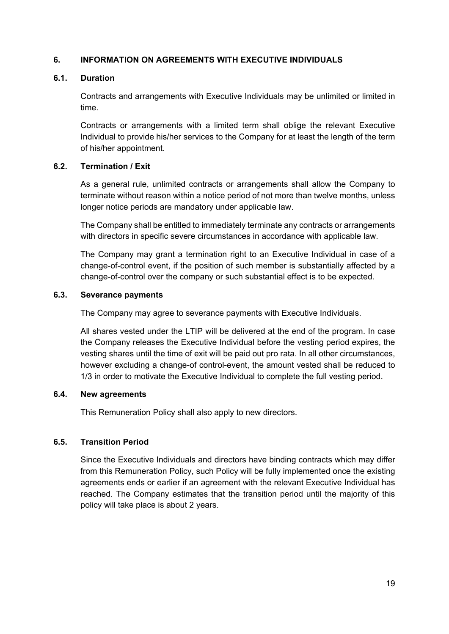### **6. INFORMATION ON AGREEMENTS WITH EXECUTIVE INDIVIDUALS**

#### **6.1. Duration**

Contracts and arrangements with Executive Individuals may be unlimited or limited in time.

Contracts or arrangements with a limited term shall oblige the relevant Executive Individual to provide his/her services to the Company for at least the length of the term of his/her appointment.

#### **6.2. Termination / Exit**

As a general rule, unlimited contracts or arrangements shall allow the Company to terminate without reason within a notice period of not more than twelve months, unless longer notice periods are mandatory under applicable law.

The Company shall be entitled to immediately terminate any contracts or arrangements with directors in specific severe circumstances in accordance with applicable law.

The Company may grant a termination right to an Executive Individual in case of a change-of-control event, if the position of such member is substantially affected by a change-of-control over the company or such substantial effect is to be expected.

#### **6.3. Severance payments**

The Company may agree to severance payments with Executive Individuals.

All shares vested under the LTIP will be delivered at the end of the program. In case the Company releases the Executive Individual before the vesting period expires, the vesting shares until the time of exit will be paid out pro rata. In all other circumstances, however excluding a change-of control-event, the amount vested shall be reduced to 1/3 in order to motivate the Executive Individual to complete the full vesting period.

#### **6.4. New agreements**

This Remuneration Policy shall also apply to new directors.

# **6.5. Transition Period**

Since the Executive Individuals and directors have binding contracts which may differ from this Remuneration Policy, such Policy will be fully implemented once the existing agreements ends or earlier if an agreement with the relevant Executive Individual has reached. The Company estimates that the transition period until the majority of this policy will take place is about 2 years.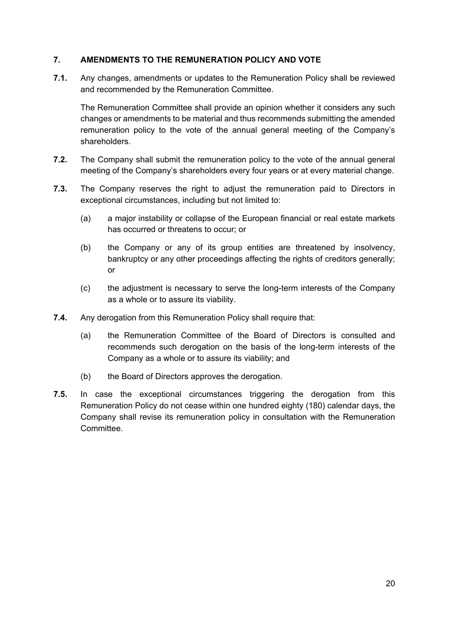### **7. AMENDMENTS TO THE REMUNERATION POLICY AND VOTE**

**7.1.** Any changes, amendments or updates to the Remuneration Policy shall be reviewed and recommended by the Remuneration Committee.

The Remuneration Committee shall provide an opinion whether it considers any such changes or amendments to be material and thus recommends submitting the amended remuneration policy to the vote of the annual general meeting of the Company's shareholders.

- **7.2.** The Company shall submit the remuneration policy to the vote of the annual general meeting of the Company's shareholders every four years or at every material change.
- **7.3.** The Company reserves the right to adjust the remuneration paid to Directors in exceptional circumstances, including but not limited to:
	- (a) a major instability or collapse of the European financial or real estate markets has occurred or threatens to occur; or
	- (b) the Company or any of its group entities are threatened by insolvency, bankruptcy or any other proceedings affecting the rights of creditors generally; or
	- (c) the adjustment is necessary to serve the long-term interests of the Company as a whole or to assure its viability.
- **7.4.** Any derogation from this Remuneration Policy shall require that:
	- (a) the Remuneration Committee of the Board of Directors is consulted and recommends such derogation on the basis of the long-term interests of the Company as a whole or to assure its viability; and
	- (b) the Board of Directors approves the derogation.
- **7.5.** In case the exceptional circumstances triggering the derogation from this Remuneration Policy do not cease within one hundred eighty (180) calendar days, the Company shall revise its remuneration policy in consultation with the Remuneration Committee.